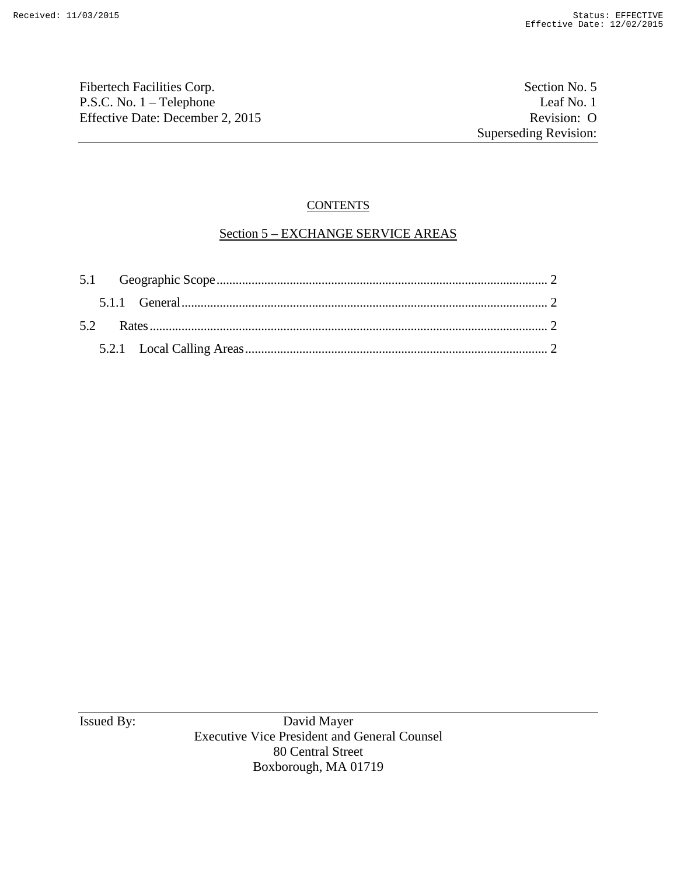Fibertech Facilities Corp. Section No. 5 P.S.C. No. 1 – Telephone Leaf No. 1<br>
Effective Date: December 2, 2015 Revision: O Effective Date: December 2, 2015

# **CONTENTS**

# Section 5 – EXCHANGE SERVICE AREAS

Issued By: David Mayer Executive Vice President and General Counsel 80 Central Street Boxborough, MA 01719